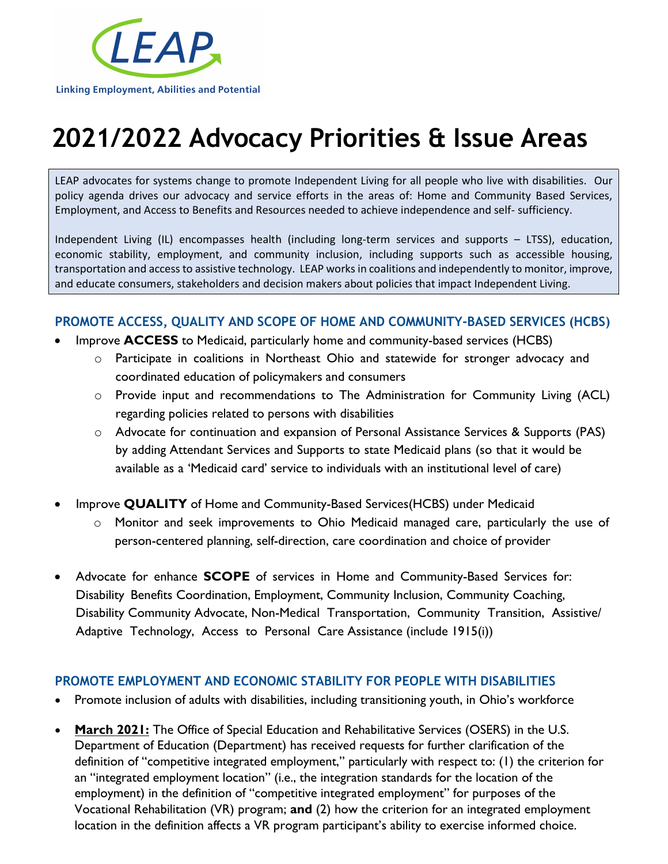

# **2021/2022 Advocacy Priorities & Issue Areas**

 LEAP advocates for systems change to promote Independent Living for all people who live with disabilities. Our policy agenda drives our advocacy and service efforts in the areas of: Home and Community Based Services, Employment, and Access to Benefits and Resources needed to achieve independence and self- sufficiency.

 Independent Living (IL) encompasses health (including long-term services and supports – LTSS), education, economic stability, employment, and community inclusion, including supports such as accessible housing, transportation and access to assistive technology. LEAP works in coalitions and independently to monitor, improve, and educate consumers, stakeholders and decision makers about policies that impact Independent Living.

#### **PROMOTE ACCESS, QUALITY AND SCOPE OF HOME AND COMMUNITY-BASED SERVICES (HCBS)**

- Improve **ACCESS** to Medicaid, particularly home and community-based services (HCBS)
	- o Participate in coalitions in Northeast Ohio and statewide for stronger advocacy and coordinated education of policymakers and consumers
	- o Provide input and recommendations to The Administration for Community Living (ACL) regarding policies related to persons with disabilities
	- o Advocate for continuation and expansion of Personal Assistance Services & Supports (PAS) by adding Attendant Services and Supports to state Medicaid plans (so that it would be available as a 'Medicaid card' service to individuals with an institutional level of care)
- Improve **QUALITY** of Home and Community-Based Services(HCBS) under Medicaid
	- o Monitor and seek improvements to Ohio Medicaid managed care, particularly the use of person-centered planning, self-direction, care coordination and choice of provider
- Advocate for enhance **SCOPE** of services in Home and Community-Based Services for: Disability Benefits Coordination, Employment, Community Inclusion, Community Coaching, Disability Community Advocate, Non-Medical Transportation, Community Transition, Assistive/ Adaptive Technology, Access to Personal Care Assistance (include 1915(i))

#### **PROMOTE EMPLOYMENT AND ECONOMIC STABILITY FOR PEOPLE WITH DISABILITIES**

- Promote inclusion of adults with disabilities, including transitioning youth, in Ohio's workforce
- **March 2021:** The Office of Special Education and Rehabilitative Services (OSERS) in the U.S. Department of Education (Department) has received requests for further clarification of the definition of "competitive integrated employment," particularly with respect to: (1) the criterion for an "integrated employment location" (i.e., the integration standards for the location of the employment) in the definition of "competitive integrated employment" for purposes of the Vocational Rehabilitation (VR) program; **and** (2) how the criterion for an integrated employment location in the definition affects a VR program participant's ability to exercise informed choice.